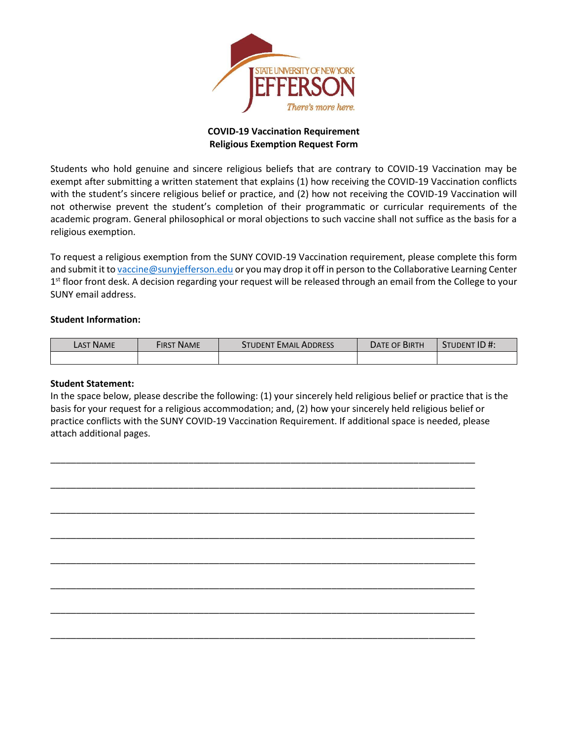

## **COVID-19 Vaccination Requirement Religious Exemption Request Form**

Students who hold genuine and sincere religious beliefs that are contrary to COVID-19 Vaccination may be exempt after submitting a written statement that explains (1) how receiving the COVID-19 Vaccination conflicts with the student's sincere religious belief or practice, and (2) how not receiving the COVID-19 Vaccination will not otherwise prevent the student's completion of their programmatic or curricular requirements of the academic program. General philosophical or moral objections to such vaccine shall not suffice as the basis for a religious exemption.

To request a religious exemption from the SUNY COVID-19 Vaccination requirement, please complete this form and submit it to [vaccine@sunyjefferson.edu](mailto:vaccine@sunyjefferson.edu) or you may drop it off in person to the Collaborative Learning Center 1<sup>st</sup> floor front desk. A decision regarding your request will be released through an email from the College to your SUNY email address.

## **Student Information:**

| <b>LAST NAME</b> | First Name | STUDENT EMAIL ADDRESS | <b>DATE OF BIRTH</b> | STUDENT ID #: |
|------------------|------------|-----------------------|----------------------|---------------|
|                  |            |                       |                      |               |

## **Student Statement:**

In the space below, please describe the following: (1) your sincerely held religious belief or practice that is the basis for your request for a religious accommodation; and, (2) how your sincerely held religious belief or practice conflicts with the SUNY COVID-19 Vaccination Requirement. If additional space is needed, please attach additional pages.